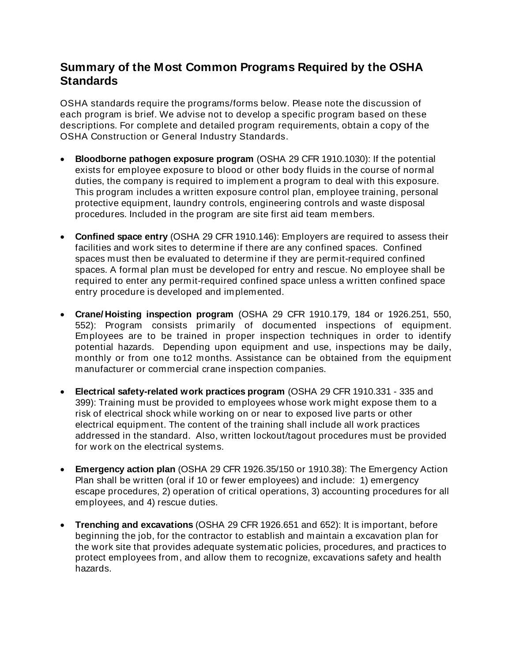## **Summary of the Most Common Programs Required by the OSHA Standards**

OSHA standards require the programs/forms below. Please note the discussion of each program is brief. We advise not to develop a specific program based on these descriptions. For complete and detailed program requirements, obtain a copy of the OSHA Construction or General Industry Standards.

- **Bloodborne pathogen exposure program** (OSHA 29 CFR 1910.1030): If the potential exists for employee exposure to blood or other body fluids in the course of normal duties, the company is required to implement a program to deal with this exposure. This program includes a written exposure control plan, employee training, personal protective equipment, laundry controls, engineering controls and waste disposal procedures. Included in the program are site first aid team members.
- **Confined space entry** (OSHA 29 CFR 1910.146): Employers are required to assess their facilities and work sites to determine if there are any confined spaces. Confined spaces must then be evaluated to determine if they are permit-required confined spaces. A formal plan must be developed for entry and rescue. No employee shall be required to enter any permit-required confined space unless a written confined space entry procedure is developed and implemented.
- **Crane/ Hoisting inspection program** (OSHA 29 CFR 1910.179, 184 or 1926.251, 550, 552): Program consists primarily of documented inspections of equipment. Employees are to be trained in proper inspection techniques in order to identify potential hazards. Depending upon equipment and use, inspections may be daily, monthly or from one to12 months. Assistance can be obtained from the equipment manufacturer or commercial crane inspection companies.
- **Electrical safety-related work practices program** (OSHA 29 CFR 1910.331 335 and 399): Training must be provided to employees whose work might expose them to a risk of electrical shock while working on or near to exposed live parts or other electrical equipment. The content of the training shall include all work practices addressed in the standard. Also, written lockout/tagout procedures must be provided for work on the electrical systems.
- **Emergency action plan** (OSHA 29 CFR 1926.35/150 or 1910.38): The Emergency Action Plan shall be written (oral if 10 or fewer employees) and include: 1) emergency escape procedures, 2) operation of critical operations, 3) accounting procedures for all employees, and 4) rescue duties.
- **Trenching and excavations** (OSHA 29 CFR 1926.651 and 652): It is important, before beginning the job, for the contractor to establish and maintain a excavation plan for the work site that provides adequate systematic policies, procedures, and practices to protect employees from, and allow them to recognize, excavations safety and health hazards.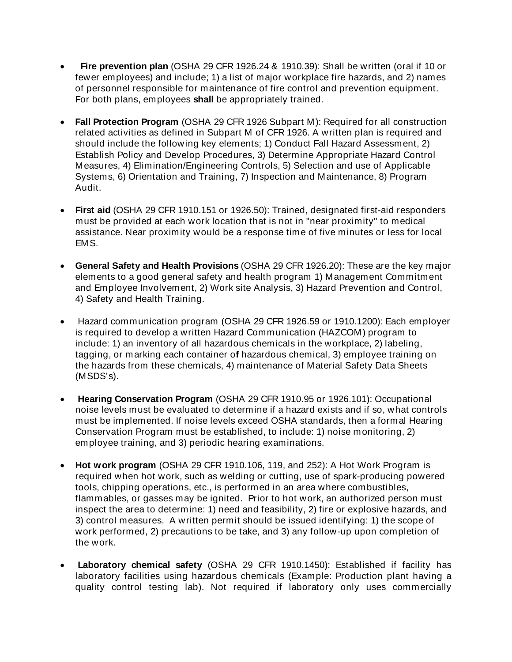- **Fire prevention plan** (OSHA 29 CFR 1926.24 & 1910.39): Shall be written (oral if 10 or fewer employees) and include; 1) a list of major workplace fire hazards, and 2) names of personnel responsible for maintenance of fire control and prevention equipment. For both plans, employees **shall** be appropriately trained.
- **Fall Protection Program** (OSHA 29 CFR 1926 Subpart M): Required for all construction related activities as defined in Subpart M of CFR 1926. A written plan is required and should include the following key elements; 1) Conduct Fall Hazard Assessment, 2) Establish Policy and Develop Procedures, 3) Determine Appropriate Hazard Control Measures, 4) Elimination/Engineering Controls, 5) Selection and use of Applicable Systems, 6) Orientation and Training, 7) Inspection and Maintenance, 8) Program Audit.
- **First aid** (OSHA 29 CFR 1910.151 or 1926.50): Trained, designated first-aid responders must be provided at each work location that is not in "near proximity" to medical assistance. Near proximity would be a response time of five minutes or less for local EMS.
- **General Safety and Health Provisions** (OSHA 29 CFR 1926.20): These are the key major elements to a good general safety and health program 1) Management Commitment and Employee Involvement, 2) Work site Analysis, 3) Hazard Prevention and Control, 4) Safety and Health Training.
- Hazard communication program (OSHA 29 CFR 1926.59 or 1910.1200): Each employer is required to develop a written Hazard Communication (HAZCOM) program to include: 1) an inventory of all hazardous chemicals in the workplace, 2) labeling, tagging, or marking each container o**f** hazardous chemical, 3) employee training on the hazards from these chemicals, 4) maintenance of Material Safety Data Sheets (MSDS's).
- **Hearing Conservation Program** (OSHA 29 CFR 1910.95 or 1926.101): Occupational noise levels must be evaluated to determine if a hazard exists and if so, what controls must be implemented. If noise levels exceed OSHA standards, then a formal Hearing Conservation Program must be established, to include: 1) noise monitoring, 2) employee training, and 3) periodic hearing examinations.
- **Hot work program** (OSHA 29 CFR 1910.106, 119, and 252): A Hot Work Program is required when hot work, such as welding or cutting, use of spark-producing powered tools, chipping operations, etc., is performed in an area where combustibles, flammables, or gasses may be ignited. Prior to hot work, an authorized person must inspect the area to determine: 1) need and feasibility, 2) fire or explosive hazards, and 3) control measures. A written permit should be issued identifying: 1) the scope of work performed, 2) precautions to be take, and 3) any follow-up upon completion of the work.
- **Laboratory chemical safety** (OSHA 29 CFR 1910.1450): Established if facility has laboratory facilities using hazardous chemicals (Example: Production plant having a quality control testing lab). Not required if laboratory only uses commercially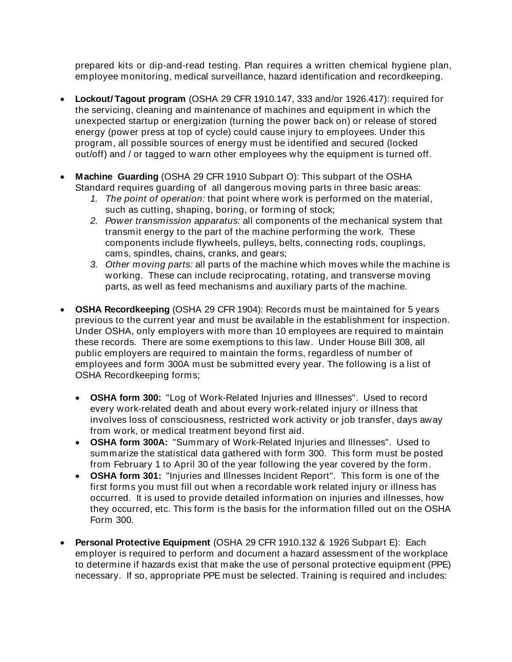prepared kits or dip-and-read testing. Plan requires a written chemical hygiene plan, employee monitoring, medical surveillance, hazard identification and recordkeeping.

- **Lockout/ Tagout program** (OSHA 29 CFR 1910.147, 333 and/or 1926.417): required for the servicing, cleaning and maintenance of machines and equipment in which the unexpected startup or energization (turning the power back on) or release of stored energy (power press at top of cycle) could cause injury to employees. Under this program, all possible sources of energy must be identified and secured (locked out/off) and / or tagged to warn other employees why the equipment is turned off.
- **Machine Guarding** (OSHA 29 CFR 1910 Subpart O): This subpart of the OSHA Standard requires guarding of all dangerous moving parts in three basic areas:
	- *1. The point of operation:* that point where work is performed on the material, such as cutting, shaping, boring, or forming of stock;
	- *2. Power transmission apparatus:* all components of the mechanical system that transmit energy to the part of the machine performing the work. These components include flywheels, pulleys, belts, connecting rods, couplings, cams, spindles, chains, cranks, and gears;
	- *3. Other moving parts:* all parts of the machine which moves while the machine is working. These can include reciprocating, rotating, and transverse moving parts, as well as feed mechanisms and auxiliary parts of the machine.
- **OSHA Recordkeeping** (OSHA 29 CFR 1904): Records must be maintained for 5 years previous to the current year and must be available in the establishment for inspection. Under OSHA, only employers with more than 10 employees are required to maintain these records. There are some exemptions to this law. Under House Bill 308, all public employers are required to maintain the forms, regardless of number of employees and form 300A must be submitted every year. The following is a list of OSHA Recordkeeping forms;
	- **OSHA form 300:** "Log of Work-Related Injuries and Illnesses". Used to record every work-related death and about every work-related injury or illness that involves loss of consciousness, restricted work activity or job transfer, days away from work, or medical treatment beyond first aid.
	- **OSHA form 300A:** "Summary of Work-Related Injuries and Illnesses". Used to summarize the statistical data gathered with form 300. This form must be posted from February 1 to April 30 of the year following the year covered by the form.
	- **OSHA form 301:** "Injuries and Illnesses Incident Report". This form is one of the first forms you must fill out when a recordable work related injury or illness has occurred. It is used to provide detailed information on injuries and illnesses, how they occurred, etc. This form is the basis for the information filled out on the OSHA Form 300.
- **Personal Protective Equipment** (OSHA 29 CFR 1910.132 & 1926 Subpart E): Each employer is required to perform and document a hazard assessment of the workplace to determine if hazards exist that make the use of personal protective equipment (PPE) necessary. If so, appropriate PPE must be selected. Training is required and includes: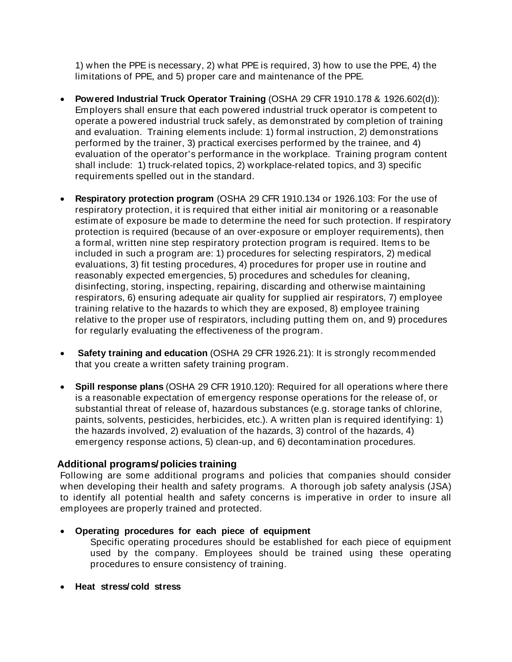1) when the PPE is necessary, 2) what PPE is required, 3) how to use the PPE, 4) the limitations of PPE, and 5) proper care and maintenance of the PPE.

- **Powered Industrial Truck Operator Training** (OSHA 29 CFR 1910.178 & 1926.602(d)): Employers shall ensure that each powered industrial truck operator is competent to operate a powered industrial truck safely, as demonstrated by completion of training and evaluation. Training elements include: 1) formal instruction, 2) demonstrations performed by the trainer, 3) practical exercises performed by the trainee, and 4) evaluation of the operator's performance in the workplace. Training program content shall include: 1) truck-related topics, 2) workplace-related topics, and 3) specific requirements spelled out in the standard.
- **Respiratory protection program** (OSHA 29 CFR 1910.134 or 1926.103: For the use of respiratory protection, it is required that either initial air monitoring or a reasonable estimate of exposure be made to determine the need for such protection. If respiratory protection is required (because of an over-exposure or employer requirements), then a formal, written nine step respiratory protection program is required. Items to be included in such a program are: 1) procedures for selecting respirators, 2) medical evaluations, 3) fit testing procedures, 4) procedures for proper use in routine and reasonably expected emergencies, 5) procedures and schedules for cleaning, disinfecting, storing, inspecting, repairing, discarding and otherwise maintaining respirators, 6) ensuring adequate air quality for supplied air respirators, 7) employee training relative to the hazards to which they are exposed, 8) employee training relative to the proper use of respirators, including putting them on, and 9) procedures for regularly evaluating the effectiveness of the program.
- **Safety training and education** (OSHA 29 CFR 1926.21): It is strongly recommended that you create a written safety training program.
- **Spill response plans** (OSHA 29 CFR 1910.120): Required for all operations where there is a reasonable expectation of emergency response operations for the release of, or substantial threat of release of, hazardous substances (e.g. storage tanks of chlorine, paints, solvents, pesticides, herbicides, etc.). A written plan is required identifying: 1) the hazards involved, 2) evaluation of the hazards, 3) control of the hazards, 4) emergency response actions, 5) clean-up, and 6) decontamination procedures.

## **Additional programs/ policies training**

Following are some additional programs and policies that companies should consider when developing their health and safety programs. A thorough job safety analysis (JSA) to identify all potential health and safety concerns is imperative in order to insure all employees are properly trained and protected.

• **Operating procedures for each piece of equipment**

Specific operating procedures should be established for each piece of equipment used by the company. Employees should be trained using these operating procedures to ensure consistency of training.

• **Heat stress/ cold stress**